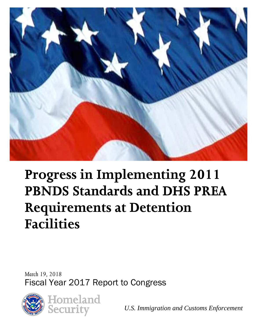

# **Progress in Implementing 2011 PBNDS Standards and DHS PREA Requirements at Detention Facilities**

*March 19, 2018*  Fiscal Year 2017 Report to Congress



*U.S. Immigration and Customs Enforcement*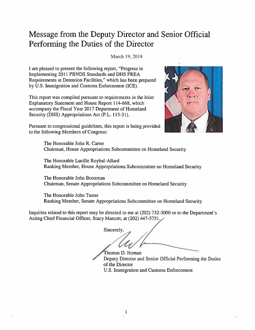## Message from the Deputy Director and Senior Official Performing the Duties of the Director

March 19, 2018

I am pleased to present the following report, "Progress in Implementing 2011 PBNDS Standards and DHS PREA Requirements at Detention Facilities," which has been prepared by U.S. Immigration and Customs Enforcement (ICE).

This report was compiled pursuant to requirements in the Joint Explanatory Statement and House Report 114-668, which accompany the Fiscal Year 2017 Department of Homeland Security (DHS) Appropriations Act (P.L. 115-31).



Pursuant to congressional guidelines, this report is being provided to the following Members of Congress:

> The Honorable John R. Carter Chairman, House Appropriations Subcommittee on Homeland Security

The Honorable Lucille Roybal-Allard Ranking Member, House Appropriations Subcommittee on Homeland Security

The Honorable John Boozman Chairman, Senate Appropriations Subcommittee on Homeland Security

The Honorable John Tester Ranking Member, Senate Appropriations Subcommittee on Homeland Security

Inquiries related to this report may be directed to me at (202) 732-3000 or to the Department's Acting Chief Financial Officer, Stacy Marcott, at (202) 447-5751.

i

Sincerely,

Thomas D. Homan Deputy Director and Senior Official Performing the Duties of the Director U.S. Immigration and Customs Enforcement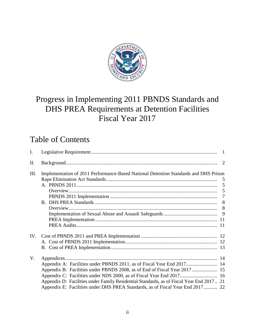

# Progress in Implementing 2011 PBNDS Standards and DHS PREA Requirements at Detention Facilities Fiscal Year 2017

# Table of Contents

| $\mathbf{I}$ . |                                                                                          |  |
|----------------|------------------------------------------------------------------------------------------|--|
| Π.             |                                                                                          |  |
| III.           | Implementation of 2011 Performance-Based National Detention Standards and DHS Prison     |  |
|                |                                                                                          |  |
|                |                                                                                          |  |
|                |                                                                                          |  |
|                |                                                                                          |  |
|                |                                                                                          |  |
|                |                                                                                          |  |
|                |                                                                                          |  |
|                |                                                                                          |  |
|                |                                                                                          |  |
|                |                                                                                          |  |
| IV.            |                                                                                          |  |
|                |                                                                                          |  |
|                |                                                                                          |  |
| V.             |                                                                                          |  |
|                |                                                                                          |  |
|                |                                                                                          |  |
|                | Appendix B: Facilities under PBNDS 2008, as of End of Fiscal Year 2017  15               |  |
|                |                                                                                          |  |
|                | Appendix D: Facilities under Family Residential Standards, as of Fiscal Year End 2017 21 |  |
|                | Appendix E: Facilities under DHS PREA Standards, as of Fiscal Year End 2017 22           |  |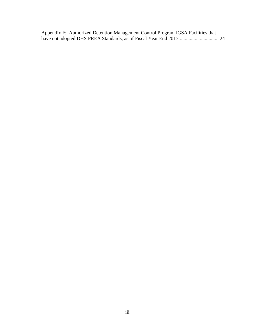| Appendix F: Authorized Detention Management Control Program IGSA Facilities that |  |
|----------------------------------------------------------------------------------|--|
|                                                                                  |  |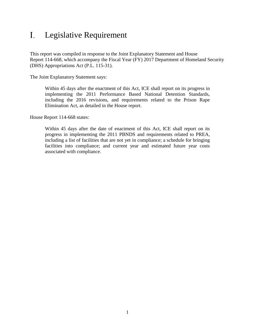#### <span id="page-4-0"></span>Legislative Requirement I.

This report was compiled in response to the Joint Explanatory Statement and House Report 114-668, which accompany the Fiscal Year (FY) 2017 Department of Homeland Security (DHS) Appropriations Act (P.L. 115-31).

The Joint Explanatory Statement says:

Within 45 days after the enactment of this Act, ICE shall report on its progress in implementing the 2011 Performance Based National Detention Standards, including the 2016 revisions, and requirements related to the Prison Rape Elimination Act, as detailed in the House report.

House Report 114-668 states:

Within 45 days after the date of enactment of this Act, ICE shall report on its progress in implementing the 2011 PBNDS and requirements related to PREA, including a list of facilities that are not yet in compliance; a schedule for bringing facilities into compliance; and current year and estimated future year costs associated with compliance.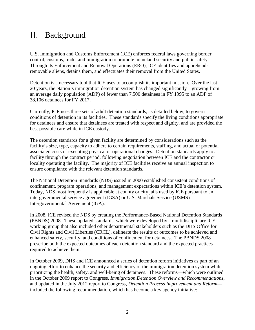#### <span id="page-5-0"></span> $II.$ Background

U.S. Immigration and Customs Enforcement (ICE) enforces federal laws governing border control, customs, trade, and immigration to promote homeland security and public safety. Through its Enforcement and Removal Operations (ERO), ICE identifies and apprehends removable aliens, detains them, and effectuates their removal from the United States.

Detention is a necessary tool that ICE uses to accomplish its important mission. Over the last 20 years, the Nation's immigration detention system has changed significantly—growing from an average daily population (ADP) of fewer than 7,500 detainees in FY 1995 to an ADP of 38,106 detainees for FY 2017.

Currently, ICE uses three sets of adult detention standards, as detailed below, to govern conditions of detention in its facilities. These standards specify the living conditions appropriate for detainees and ensure that detainees are treated with respect and dignity, and are provided the best possible care while in ICE custody.

The detention standards for a given facility are determined by considerations such as the facility's size, type, capacity to adhere to certain requirements, staffing, and actual or potential associated costs of executing physical or operational changes. Detention standards apply to a facility through the contract period, following negotiation between ICE and the contractor or locality operating the facility. The majority of ICE facilities receive an annual inspection to ensure compliance with the relevant detention standards.

The National [Detention Standards \(NDS\)](https://www.ice.gov/detention-standards/2000) issued in 2000 established consistent conditions of confinement, program operations, and management expectations within ICE's detention system. Today, NDS most frequently is applicable at county or city jails used by ICE pursuant to an intergovernmental service agreement (IGSA) or U.S. Marshals Service (USMS) Intergovernmental Agreement (IGA).

In 2008, ICE revised the NDS by creating the Performance-Based National Detention Standards (PBNDS) 2008. These updated standards, which were developed by a multidisciplinary ICE working group that also included other departmental stakeholders such as the DHS Office for Civil Rights and Civil Liberties (CRCL), delineate the results or outcomes to be achieved and enhanced safety, security, and conditions of confinement for detainees. The PBNDS 2008 prescribe both the expected outcomes of each detention standard and the expected practices required to achieve them.

In October 2009, DHS and ICE announced a series of detention reform initiatives as part of an ongoing effort to enhance the security and efficiency of the immigration detention system while prioritizing the health, safety, and well-being of detainees. These reforms—which were outlined in the October 2009 report to Congress, *Immigration Detention Overview and Recommendations*, and updated in the July 2012 report to Congress, *Detention Process Improvement and Reform* included the following recommendation, which has become a key agency initiative: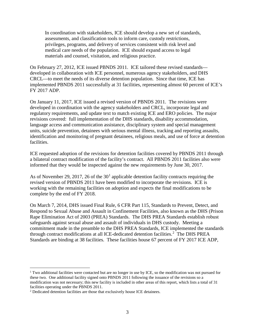In coordination with stakeholders, ICE should develop a new set of standards, assessments, and classification tools to inform care, custody restrictions, privileges, programs, and delivery of services consistent with risk level and medical care needs of the population. ICE should expand access to legal materials and counsel, visitation, and religious practice.

On February 27, 2012, ICE issued PBNDS 2011. ICE tailored these revised standards developed in collaboration with ICE personnel, numerous agency stakeholders, and DHS CRCL—to meet the needs of its diverse detention population. Since that time, ICE has implemented PBNDS 2011 successfully at 31 facilities, representing almost 60 percent of ICE's FY 2017 ADP.

On January 11, 2017, ICE issued a revised version of PBNDS 2011. The revisions were developed in coordination with the agency stakeholders and CRCL, incorporate legal and regulatory requirements, and update text to match existing ICE and ERO policies. The major revisions covered: full implementation of the DHS standards, disability accommodation, language access and communication assistance, disciplinary system and special management units, suicide prevention, detainees with serious mental illness, tracking and reporting assaults, identification and monitoring of pregnant detainees, religious meals, and use of force at detention facilities.

ICE requested adoption of the revisions for detention facilities covered by PBNDS 2011 through a bilateral contract modification of the facility's contract. All PBNDS 2011 facilities also were informed that they would be inspected against the new requirements by June 30, 2017.

As of November 29, 20[1](#page-6-0)7, 26 of the  $30<sup>1</sup>$  applicable detention facility contracts requiring the revised version of PBNDS 2011 have been modified to incorporate the revisions. ICE is working with the remaining facilities on adoption and expects the final modifications to be complete by the end of FY 2018.

On March 7, 2014, DHS issued Final Rule, 6 CFR Part 115, Standards to Prevent, Detect, and Respond to Sexual Abuse and Assault in Confinement Facilities, also known as the DHS (Prison Rape Elimination Act of 2003 (PREA) Standards. The DHS PREA Standards establish robust safeguards against sexual abuse and assault of individuals in DHS custody. Meeting a commitment made in the preamble to the DHS PREA Standards, ICE implemented the standards through contract modifications at all ICE-dedicated detention facilities.<sup>[2](#page-6-1)</sup> The DHS PREA Standards are binding at 38 facilities. These facilities house 67 percent of FY 2017 ICE ADP,

 $\overline{a}$ 

<span id="page-6-0"></span><sup>&</sup>lt;sup>1</sup> Two additional facilities were contacted but are no longer in use by ICE, so the modification was not pursued for these two. One additional facility signed onto PBNDS 2011 following the issuance of the revisions so a modification was not necessary; this new facility is included in other areas of this report, which lists a total of 31 facilities operating under the PBNDS 2011.

<span id="page-6-1"></span><sup>&</sup>lt;sup>2</sup> Dedicated detention facilities are those that exclusively house ICE detainees.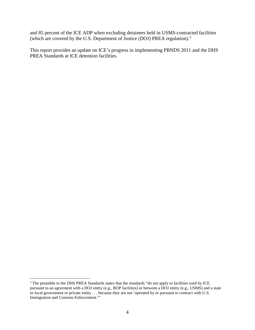and 85 percent of the ICE ADP when excluding detainees held in USMS-contracted facilities (which are covered by the U.S. Department of Justice (DOJ) PREA regulation).<sup>[3](#page-7-0)</sup>

This report provides an update on ICE's progress in implementing PBNDS 2011 and the DHS PREA Standards at ICE detention facilities.

 $\overline{a}$ 

<span id="page-7-0"></span><sup>&</sup>lt;sup>3</sup> The preamble to the DHS PREA Standards states that the standards "do not apply to facilities used by ICE pursuant to an agreement with a DOJ entity (e.g., BOP facilities) or between a DOJ entity (e.g., USMS) and a state or local government or private entity . . . because they are not 'operated by or pursuant to contract with U.S. Immigration and Customs Enforcement.'"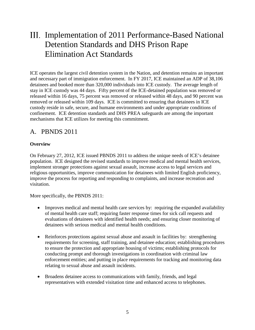# <span id="page-8-0"></span>III. Implementation of 2011 Performance-Based National Detention Standards and DHS Prison Rape Elimination Act Standards

ICE operates the largest civil detention system in the Nation, and detention remains an important and necessary part of immigration enforcement. In FY 2017, ICE maintained an ADP of 38,106 detainees and booked more than 320,000 individuals into ICE custody. The average length of stay in ICE custody was 44 days. Fifty percent of the ICE-detained population was removed or released within 16 days, 75 percent was removed or released within 48 days, and 90 percent was removed or released within 109 days. ICE is committed to ensuring that detainees in ICE custody reside in safe, secure, and humane environments and under appropriate conditions of confinement. ICE detention standards and DHS PREA safeguards are among the important mechanisms that ICE utilizes for meeting this commitment.

## <span id="page-8-1"></span>A. PBNDS 2011

## <span id="page-8-2"></span>**Overview**

On February 27, 2012, ICE issued PBNDS 2011 to address the unique needs of ICE's detainee population. ICE designed the revised standards to improve medical and mental health services, implement stronger protections against sexual assault, increase access to legal services and religious opportunities, improve communication for detainees with limited English proficiency, improve the process for reporting and responding to complaints, and increase recreation and visitation.

More specifically, the PBNDS 2011:

- Improves medical and mental health care services by: requiring the expanded availability of mental health care staff; requiring faster response times for sick call requests and evaluations of detainees with identified health needs; and ensuring closer monitoring of detainees with serious medical and mental health conditions.
- Reinforces protections against sexual abuse and assault in facilities by: strengthening requirements for screening, staff training, and detainee education; establishing procedures to ensure the protection and appropriate housing of victims; establishing protocols for conducting prompt and thorough investigations in coordination with criminal law enforcement entities; and putting in place requirements for tracking and monitoring data relating to sexual abuse and assault incidents.
- Broadens detainee access to communications with family, friends, and legal representatives with extended visitation time and enhanced access to telephones.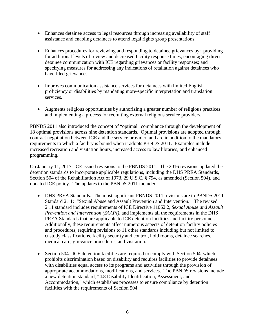- Enhances detainee access to legal resources through increasing availability of staff assistance and enabling detainees to attend legal rights group presentations.
- Enhances procedures for reviewing and responding to detainee grievances by: providing for additional levels of review and decreased facility response times; encouraging direct detainee communication with ICE regarding grievances or facility responses; and specifying measures for addressing any indications of retaliation against detainees who have filed grievances.
- Improves communication assistance services for detainees with limited English proficiency or disabilities by mandating more-specific interpretation and translation services.
- Augments religious opportunities by authorizing a greater number of religious practices and implementing a process for recruiting external religious service providers.

PBNDS 2011 also introduced the concept of "optimal" compliance through the development of 18 optimal provisions across nine detention standards. Optimal provisions are adopted through contract negotiation between ICE and the service provider, and are in addition to the mandatory requirements to which a facility is bound when it adopts PBNDS 2011. Examples include increased recreation and visitation hours, increased access to law libraries, and enhanced programming.

On January 11, 2017, ICE issued revisions to the PBNDS 2011. The 2016 revisions updated the detention standards to incorporate applicable regulations, including the DHS PREA Standards, Section 504 of the Rehabilitation Act of 1973, 29 U.S.C. § 794, as amended (Section 504), and updated ICE policy. The updates to the PBNDS 2011 included:

- DHS PREA Standards. The most significant PBNDS 2011 revisions are to PBNDS 2011 Standard 2.11: "Sexual Abuse and Assault Prevention and Intervention." The revised 2.11 standard includes requirements of ICE Directive 11062.2, *Sexual Abuse and Assault Prevention and Intervention (SAAPI)*, and implements all the requirements in the DHS PREA Standards that are applicable to ICE detention facilities and facility personnel. Additionally, these requirements affect numerous aspects of detention facility policies and procedures, requiring revisions to 11 other standards including but not limited to custody classifications, facility security and control, hold rooms, detainee searches, medical care, grievance procedures, and visitation.
- Section 504. ICE detention facilities are required to comply with Section 504, which prohibits discrimination based on disability and requires facilities to provide detainees with disabilities equal access to its programs and activities through the provision of appropriate accommodations, modifications, and services. The PBNDS revisions include a new detention standard, "4.8 Disability Identification, Assessment, and Accommodation," which establishes processes to ensure compliance by detention facilities with the requirements of Section 504.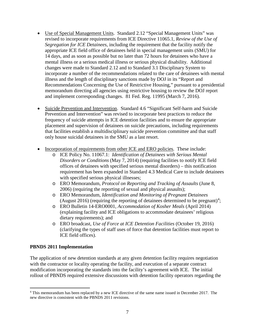- Use of Special Management Units. Standard 2.12 "Special Management Units" was revised to incorporate requirements from ICE Directive 11065.1, *Review of the Use of Segregation for ICE Detainees*, including the requirement that the facility notify the appropriate ICE field office of detainees held in special management units (SMU) for 14 days, and as soon as possible but no later than 72 hours for detainees who have a mental illness or a serious medical illness or serious physical disability. Additional changes were made to Standard 2.12 and to Standard 3.1 Disciplinary System to incorporate a number of the recommendations related to the care of detainees with mental illness and the length of disciplinary sanctions made by DOJ in its "Report and Recommendations Concerning the Use of Restrictive Housing," pursuant to a presidential memorandum directing all agencies using restrictive housing to review the DOJ report and implement corresponding changes. 81 Fed. Reg. 11995 (March 7, 2016).
- Suicide Prevention and Intervention. Standard 4.6 "Significant Self-harm and Suicide Prevention and Intervention" was revised to incorporate best practices to reduce the frequency of suicide attempts in ICE detention facilities and to ensure the appropriate placement and supervision of detainees on suicide precautions, including requirements that facilities establish a multidisciplinary suicide prevention committee and that staff only house suicidal detainees in the SMU as a last resort.
- Incorporation of requirements from other ICE and ERO policies. These include:
	- o ICE Policy No. 11067.1: *Identification of Detainees with Serious Mental Disorders or Conditions* (May 7, 2014) (requiring facilities to notify ICE field offices of detainees with specified serious mental disorders) – this notification requirement has been expanded in Standard 4.3 Medical Care to include detainees with specified serious physical illnesses;
	- o ERO Memorandum, *Protocol on Reporting and Tracking of Assaults* (June 8, 2006) (requiring the reporting of sexual and physical assaults);
	- o ERO Memorandum, *Identification and Monitoring of Pregnant Detainees* (August 2016) (requiring the reporting of detainees determined to be pregnant)<sup>[4](#page-10-1)</sup>;
	- o ERO Bulletin 14-ERO0001, *Accommodation of Kosher Meals* (April 2014) (explaining facility and ICE obligations to accommodate detainees' religious dietary requirements); and
	- o ERO broadcast, *Use of Force at ICE Detention Facilities* (October 19, 2016) (clarifying the types of staff uses of force that detention facilities must report to ICE field offices).

### <span id="page-10-0"></span>**PBNDS 2011 Implementation**

The application of new detention standards at any given detention facility requires negotiation with the contractor or locality operating the facility, and execution of a separate contract modification incorporating the standards into the facility's agreement with ICE. The initial rollout of PBNDS required extensive discussions with detention facility operators regarding the

<span id="page-10-1"></span> $\overline{a}$ <sup>4</sup> This memorandum has been replaced by a new ICE directive of the same name issued in December 2017. The new directive is consistent with the PBNDS 2011 revisions.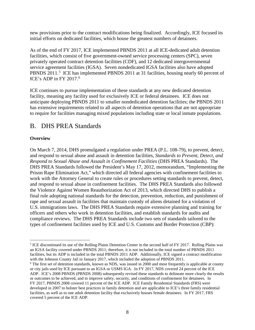new provisions prior to the contract modifications being finalized. Accordingly, ICE focused its initial efforts on dedicated facilities, which house the greatest numbers of detainees.

As of the end of FY 2017, ICE implemented PBNDS 2011 at all ICE-dedicated adult detention facilities, which consist of five government-owned service processing centers (SPC), seven privately operated contract detention facilities (CDF), and 12 dedicated intergovernmental service agreement facilities (IGSA). Seven nondedicated IGSA facilities also have adopted PBNDS 2011.<sup>[5](#page-11-2)</sup> ICE has implemented PBNDS 2011 at 31 facilities, housing nearly 60 percent of ICE's ADP in FY 2017. [6](#page-11-3)

ICE continues to pursue implementation of these standards at any new dedicated detention facility, meaning any facility used for exclusively ICE or federal detainees. ICE does not anticipate deploying PBNDS 2011 to smaller nondedicated detention facilities; the PBNDS 2011 has extensive requirements related to all aspects of detention operations that are not appropriate to require for facilities managing mixed populations including state or local inmate populations.

## <span id="page-11-0"></span>B. DHS PREA Standards

## <span id="page-11-1"></span>**Overview**

On March 7, 2014, DHS promulgated a regulation under PREA (P.L. 108-79), to prevent, detect, and respond to sexual abuse and assault in detention facilities, *Standards to Prevent, Detect, and Respond to Sexual Abuse and Assault in Confinement Facilities* (DHS PREA Standards). The DHS PREA Standards followed the President's May 17, 2012, memorandum, "Implementing the Prison Rape Elimination Act," which directed all federal agencies with confinement facilities to work with the Attorney General to create rules or procedures setting standards to prevent, detect, and respond to sexual abuse in confinement facilities. The DHS PREA Standards also followed the Violence Against Women Reauthorization Act of 2013, which directed DHS to publish a final rule adopting national standards for the detection, prevention, reduction, and punishment of rape and sexual assault in facilities that maintain custody of aliens detained for a violation of U.S. immigrations laws. The DHS PREA Standards require extensive planning and training for officers and others who work in detention facilities, and establish standards for audits and compliance reviews. The DHS PREA Standards include two sets of standards tailored to the types of confinement facilities used by ICE and U.S. Customs and Border Protection (CBP):

<span id="page-11-2"></span> $\overline{a}$ <sup>5</sup> ICE discontinued its use of the Rolling Plains Detention Center in the second half of FY 2017. Rolling Plains was an IGSA facility covered under PBNDS 2011; therefore, it is not included in the total number of PBNDS 2011 facilities, but its ADP is included in the total PBNDS 2011 ADP. Additionally, ICE signed a contract modification with the Johnson County Jail in January 2017, which included the adoption of PBNDS 2011.

<span id="page-11-3"></span><sup>&</sup>lt;sup>6</sup> The first set of detention standards, known as NDS, was issued in 2000 and most frequently is applicable at county or city jails used by ICE pursuant to an IGSA or USMS IGA. In FY 2017, NDS covered 24 percent of the ICE ADP. ICE's 2008 PBNDS (PBNDS 2008) subsequently revised these standards to delineate more clearly the results or outcomes to be achieved, and to improve safety, security, and conditions of confinement for detainees. In FY 2017, PBNDS 2008 covered 11 percent of the ICE ADP. ICE Family Residential Standards (FRS) were developed in 2007 to bolster best practices in family detention and are applicable to ICE's three family residential facilities, as well as to one adult detention facility that exclusively houses female detainees. In FY 2017, FRS covered 5 percent of the ICE ADP.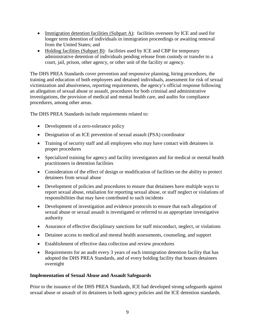- Immigration detention facilities (Subpart A): facilities overseen by ICE and used for longer term detention of individuals in immigration proceedings or awaiting removal from the United States; and
- Holding facilities (Subpart B): facilities used by ICE and CBP for temporary administrative detention of individuals pending release from custody or transfer to a court, jail, prison, other agency, or other unit of the facility or agency.

The DHS PREA Standards cover prevention and responsive planning, hiring procedures, the training and education of both employees and detained individuals, assessment for risk of sexual victimization and abusiveness, reporting requirements, the agency's official response following an allegation of sexual abuse or assault, procedures for both criminal and administrative investigations, the provision of medical and mental health care, and audits for compliance procedures, among other areas.

The DHS PREA Standards include requirements related to:

- Development of a zero-tolerance policy
- Designation of an ICE prevention of sexual assault (PSA) coordinator
- Training of security staff and all employees who may have contact with detainees in proper procedures
- Specialized training for agency and facility investigators and for medical or mental health practitioners in detention facilities
- Consideration of the effect of design or modification of facilities on the ability to protect detainees from sexual abuse
- Development of policies and procedures to ensure that detainees have multiple ways to report sexual abuse, retaliation for reporting sexual abuse, or staff neglect or violations of responsibilities that may have contributed to such incidents
- Development of investigation and evidence protocols to ensure that each allegation of sexual abuse or sexual assault is investigated or referred to an appropriate investigative authority
- Assurance of effective disciplinary sanctions for staff misconduct, neglect, or violations
- Detainee access to medical and mental health assessments, counseling, and support
- Establishment of effective data collection and review procedures
- Requirements for an audit every 3 years of each immigration detention facility that has adopted the DHS PREA Standards, and of every holding facility that houses detainees overnight

#### <span id="page-12-0"></span>**Implementation of Sexual Abuse and Assault Safeguards**

Prior to the issuance of the DHS PREA Standards, ICE had developed strong safeguards against sexual abuse or assault of its detainees in both agency policies and the ICE detention standards.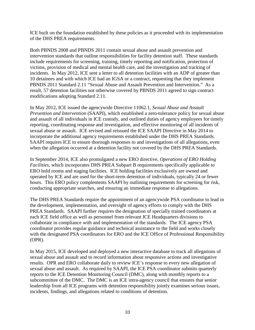ICE built on the foundation established by these policies as it proceeded with its implementation of the DHS PREA requirements.

Both PBNDS 2008 and PBNDS 2011 contain sexual abuse and assault prevention and intervention standards that outline responsibilities for facility detention staff. These standards include requirements for screening, training, timely reporting and notification, protection of victims, provision of medical and mental health care, and the investigation and tracking of incidents. In May 2012, ICE sent a letter to all detention facilities with an ADP of greater than 10 detainees and with which ICE had an IGSA or a contract, requesting that they implement PBNDS 2011 Standard 2.11 "Sexual Abuse and Assault Prevention and Intervention." As a result, 57 detention facilities not otherwise covered by PBNDS 2011 agreed to sign contract modifications adopting Standard 2.11.

In May 2012, ICE issued the agencywide Directive 11062.1, *Sexual Abuse and Assault Prevention and Intervention* (SAAPI), which established a zero-tolerance policy for sexual abuse and assault of all individuals in ICE custody, and outlined duties of agency employees for timely reporting, coordinating response and investigation, and effective monitoring of all incidents of sexual abuse or assault. ICE revised and reissued the ICE SAAPI Directive in May 2014 to incorporate the additional agency requirements established under the DHS PREA Standards. SAAPI requires ICE to ensure thorough responses to and investigations of all allegations, even when the allegation occurred at a detention facility not covered by the DHS PREA Standards.

In September 2014, ICE also promulgated a new ERO directive, *Operations of ERO Holding Facilities*, which incorporates DHS PREA Subpart B requirements specifically applicable to ERO hold rooms and staging facilities. ICE holding facilities exclusively are owned and operated by ICE and are used for the short-term detention of individuals, typically 24 or fewer hours. This ERO policy complements SAAPI by outlining requirements for screening for risk, conducting appropriate searches, and ensuring an immediate response to allegations.

The DHS PREA Standards require the appointment of an agencywide PSA coordinator to lead in the development, implementation, and oversight of agency efforts to comply with the DHS PREA Standards. SAAPI further requires the designation of specially trained coordinators at each ICE field office as well as personnel from relevant ICE Headquarters divisions to collaborate in compliance with and implementation of the standards. The ICE agency PSA coordinator provides regular guidance and technical assistance to the field and works closely with the designated PSA coordinators for ERO and the ICE Office of Professional Responsibility (OPR).

In May 2015, ICE developed and deployed a new interactive database to track all allegations of sexual abuse and assault and to record information about responsive actions and investigative results. OPR and ERO collaborate daily to review ICE's response to every new allegation of sexual abuse and assault. As required by SAAPI, the ICE PSA coordinator submits quarterly reports to the ICE Detention Monitoring Council (DMC), along with monthly reports to a subcommittee of the DMC. The DMC is an ICE intra-agency council that ensures that senior leadership from all ICE programs with detention responsibility jointly examines serious issues, incidents, findings, and allegations related to conditions of detention.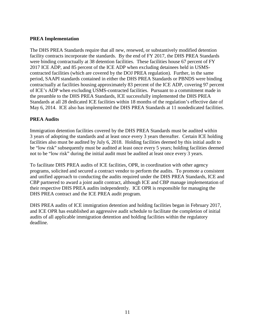#### <span id="page-14-0"></span>**PREA Implementation**

The DHS PREA Standards require that all new, renewed, or substantively modified detention facility contracts incorporate the standards. By the end of FY 2017, the DHS PREA Standards were binding contractually at 38 detention facilities. These facilities house 67 percent of FY 2017 ICE ADP, and 85 percent of the ICE ADP when excluding detainees held in USMScontracted facilities (which are covered by the DOJ PREA regulation). Further, in the same period, SAAPI standards contained in either the DHS PREA Standards or PBNDS were binding contractually at facilities housing approximately 83 percent of the ICE ADP, covering 97 percent of ICE's ADP when excluding USMS-contracted facilities. Pursuant to a commitment made in the preamble to the DHS PREA Standards, ICE successfully implemented the DHS PREA Standards at all 28 dedicated ICE facilities within 18 months of the regulation's effective date of May 6, 2014. ICE also has implemented the DHS PREA Standards at 11 nondedicated facilities.

#### <span id="page-14-1"></span>**PREA Audits**

Immigration detention facilities covered by the DHS PREA Standards must be audited within 3 years of adopting the standards and at least once every 3 years thereafter. Certain ICE holding facilities also must be audited by July 6, 2018. Holding facilities deemed by this initial audit to be "low risk" subsequently must be audited at least once every 5 years; holding facilities deemed not to be "low risk" during the initial audit must be audited at least once every 3 years.

To facilitate DHS PREA audits of ICE facilities, OPR, in coordination with other agency programs, solicited and secured a contract vendor to perform the audits. To promote a consistent and unified approach to conducting the audits required under the DHS PREA Standards, ICE and CBP partnered to award a joint audit contract, although ICE and CBP manage implementation of their respective DHS PREA audits independently. ICE OPR is responsible for managing the DHS PREA contract and the ICE PREA audit program.

DHS PREA audits of ICE immigration detention and holding facilities began in February 2017, and ICE OPR has established an aggressive audit schedule to facilitate the completion of initial audits of all applicable immigration detention and holding facilities within the regulatory deadline.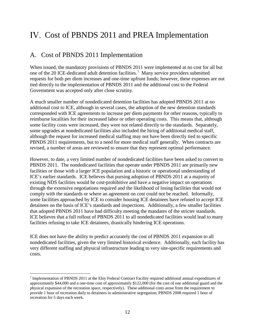# <span id="page-15-0"></span>IV. Cost of PBNDS 2011 and PREA Implementation

## <span id="page-15-1"></span>A. Cost of PBNDS 2011 Implementation

When issued, the mandatory provisions of PBNDS 2011 were implemented at no cost for all but one of the 20 ICE-dedicated adult detention facilities.<sup>[7](#page-15-2)</sup> Many service providers submitted requests for both per diem increases and one-time upfront funds; however, these expenses are not tied directly to the implementation of PBNDS 2011 and the additional cost to the Federal Government was accepted only after close scrutiny.

A much smaller number of nondedicated detention facilities has adopted PBNDS 2011 at no additional cost to ICE, although in several cases, the adoption of the new detention standards corresponded with ICE agreements to increase per diem payments for other reasons, typically to reimburse localities for their increased labor or other operating costs. This means that, although some facility costs were increased, they were not related directly to the standards. Separately, some upgrades at nondedicated facilities also included the hiring of additional medical staff, although the request for increased medical staffing may not have been directly tied to specific PBNDS 2011 requirements, but to a need for more medical staff generally. When contracts are revised, a number of areas are reviewed to ensure that they represent optimal performance.

However, to date, a very limited number of nondedicated facilities have been asked to convert to PBNDS 2011. The nondedicated facilities that operate under PBNDS 2011 are primarily new facilities or those with a larger ICE population and a historic or operational understanding of ICE's earlier standards. ICE believes that pursing adoption of PBNDS 2011 at a majority of existing NDS facilities would be cost-prohibitive and have a negative impact on operations through the extensive negotiations required and the likelihood of losing facilities that would not comply with the standards or where an agreement on cost could not be reached. Informally, some facilities approached by ICE to consider housing ICE detainees have refused to accept ICE detainees on the basis of ICE's standards and inspections. Additionally, a few smaller facilities that adopted PBNDS 2011 have had difficulty meeting the mandates of the stricter standards. ICE believes that a full rollout of PBNDS 2011 to all nondedicated facilities would lead to many facilities refusing to take ICE detainees, drastically hindering ICE operations.

ICE does not have the ability to predict accurately the cost of PBNDS 2011 expansion to all nondedicated facilities, given the very limited historical evidence. Additionally, each facility has very different staffing and physical infrastructure leading to very site-specific requirements and costs.

<span id="page-15-2"></span> $\overline{a}$ <sup>7</sup> Implementation of PBNDS 2011 at the Eloy Federal Contract Facility required additional annual expenditures of approximately \$44,000 and a one-time cost of approximately \$122,000 (for the cost of one additional guard and the physical expansion of the recreation space, respectively). These additional costs arose from the requirement to provide 1 hour of recreation daily to detainees in administrative segregation; PBNDS 2008 required 1 hour of recreation for 5 days each week.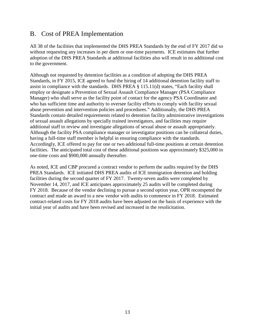## <span id="page-16-0"></span>B. Cost of PREA Implementation

All 38 of the facilities that implemented the DHS PREA Standards by the end of FY 2017 did so without requesting any increases in per diem or one-time payments. ICE estimates that further adoption of the DHS PREA Standards at additional facilities also will result in no additional cost to the government.

Although not requested by detention facilities as a condition of adopting the DHS PREA Standards, in FY 2015, ICE agreed to fund the hiring of 14 additional detention facility staff to assist in compliance with the standards. DHS PREA § 115.11(d) states, "Each facility shall employ or designate a Prevention of Sexual Assault Compliance Manager (PSA Compliance Manager) who shall serve as the facility point of contact for the agency PSA Coordinator and who has sufficient time and authority to oversee facility efforts to comply with facility sexual abuse prevention and intervention policies and procedures." Additionally, the DHS PREA Standards contain detailed requirements related to detention facility administrative investigations of sexual assault allegations by specially trained investigators, and facilities may require additional staff to review and investigate allegations of sexual abuse or assault appropriately. Although the facility PSA compliance manager or investigator positions can be collateral duties, having a full-time staff member is helpful in ensuring compliance with the standards. Accordingly, ICE offered to pay for one or two additional full-time positions at certain detention facilities. The anticipated total cost of these additional positions was approximately \$325,000 in one-time costs and \$900,000 annually thereafter.

As noted, ICE and CBP procured a contract vendor to perform the audits required by the DHS PREA Standards. ICE initiated DHS PREA audits of ICE immigration detention and holding facilities during the second quarter of FY 2017. Twenty-seven audits were completed by November 14, 2017, and ICE anticipates approximately 25 audits will be completed during FY 2018. Because of the vendor declining to pursue a second option year, OPR recompeted the contract and made an award to a new vendor with audits to commence in FY 2018. Estimated contract-related costs for FY 2018 audits have been adjusted on the basis of experience with the initial year of audits and have been revised and increased in the resolicitation.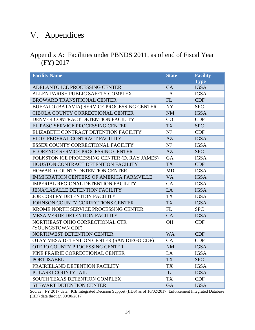# <span id="page-17-0"></span>V. Appendices

## <span id="page-17-1"></span>Appendix A: Facilities under PBNDS 2011, as of end of Fiscal Year (FY) 2017

| <b>Facility Name</b>                            | <b>State</b> | <b>Facility</b> |
|-------------------------------------------------|--------------|-----------------|
|                                                 |              | <b>Type</b>     |
| ADELANTO ICE PROCESSING CENTER                  | CA           | <b>IGSA</b>     |
| ALLEN PARISH PUBLIC SAFETY COMPLEX              | LA           | <b>IGSA</b>     |
| BROWARD TRANSITIONAL CENTER                     | FL           | <b>CDF</b>      |
| BUFFALO (BATAVIA) SERVICE PROCESSING CENTER     | <b>NY</b>    | <b>SPC</b>      |
| CIBOLA COUNTY CORRECTIONAL CENTER               | <b>NM</b>    | <b>IGSA</b>     |
| DENVER CONTRACT DETENTION FACILITY              | CO           | <b>CDF</b>      |
| EL PASO SERVICE PROCESSING CENTER               | <b>TX</b>    | <b>SPC</b>      |
| ELIZABETH CONTRACT DETENTION FACILITY           | NJ           | <b>CDF</b>      |
| ELOY FEDERAL CONTRACT FACILITY                  | AZ           | <b>IGSA</b>     |
| ESSEX COUNTY CORRECTIONAL FACILITY              | <b>NJ</b>    | <b>IGSA</b>     |
| FLORENCE SERVICE PROCESSING CENTER              | AZ           | <b>SPC</b>      |
| FOLKSTON ICE PROCESSING CENTER (D. RAY JAMES)   | <b>GA</b>    | <b>IGSA</b>     |
| HOUSTON CONTRACT DETENTION FACILITY             | <b>TX</b>    | <b>CDF</b>      |
| HOWARD COUNTY DETENTION CENTER                  | <b>MD</b>    | <b>IGSA</b>     |
| <b>IMMIGRATION CENTERS OF AMERICA FARMVILLE</b> | <b>VA</b>    | <b>IGSA</b>     |
| <b>IMPERIAL REGIONAL DETENTION FACILITY</b>     | CA           | <b>IGSA</b>     |
| <b>JENA/LASALLE DETENTION FACILITY</b>          | LA           | <b>IGSA</b>     |
| <b>JOE CORLEY DETENTION FACILITY</b>            | <b>TX</b>    | <b>IGSA</b>     |
| JOHNSON COUNTY CORRECTIONS CENTER               | <b>TX</b>    | <b>IGSA</b>     |
| KROME NORTH SERVICE PROCESSING CENTER           | FL           | <b>SPC</b>      |
| <b>MESA VERDE DETENTION FACILITY</b>            | CA           | <b>IGSA</b>     |
| NORTHEAST OHIO CORRECTIONAL CTR                 | <b>OH</b>    | <b>CDF</b>      |
| (YOUNGSTOWN CDF)                                |              |                 |
| NORTHWEST DETENTION CENTER                      | <b>WA</b>    | <b>CDF</b>      |
| OTAY MESA DETENTION CENTER (SAN DIEGO CDF)      | CA           | <b>CDF</b>      |
| OTERO COUNTY PROCESSING CENTER                  | <b>NM</b>    | <b>IGSA</b>     |
| PINE PRAIRIE CORRECTIONAL CENTER                | LA           | <b>IGSA</b>     |
| <b>PORT ISABEL</b>                              | <b>TX</b>    | <b>SPC</b>      |
| PRAIRIELAND DETENTION FACILITY                  | <b>TX</b>    | <b>IGSA</b>     |
| PULASKI COUNTY JAIL                             | IL           | <b>IGSA</b>     |
| SOUTH TEXAS DETENTION COMPLEX                   | <b>TX</b>    | <b>CDF</b>      |
| STEWART DETENTION CENTER                        | GA           | <b>IGSA</b>     |

Source: FY 2017 data: ICE Integrated Decision Support (IIDS) as of 10/02/2017; Enforcement Integrated Database (EID) data through 09/30/2017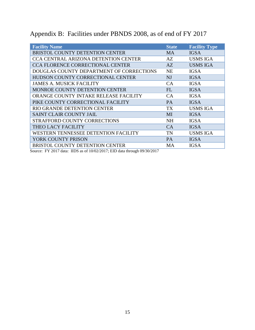| <b>Facility Name</b>                        | <b>State</b> | <b>Facility Type</b> |
|---------------------------------------------|--------------|----------------------|
| <b>BRISTOL COUNTY DETENTION CENTER</b>      | <b>MA</b>    | <b>IGSA</b>          |
| <b>CCA CENTRAL ARIZONA DETENTION CENTER</b> | AZ.          | <b>USMS IGA</b>      |
| <b>CCA FLORENCE CORRECTIONAL CENTER</b>     | AZ           | <b>USMS IGA</b>      |
| DOUGLAS COUNTY DEPARTMENT OF CORRECTIONS    | <b>NE</b>    | <b>IGSA</b>          |
| HUDSON COUNTY CORRECTIONAL CENTER           | NJ           | <b>IGSA</b>          |
| <b>JAMES A. MUSICK FACILITY</b>             | CA           | <b>IGSA</b>          |
| MONROE COUNTY DETENTION CENTER              | FL           | <b>IGSA</b>          |
| ORANGE COUNTY INTAKE RELEASE FACILITY       | CA           | <b>IGSA</b>          |
| PIKE COUNTY CORRECTIONAL FACILITY           | <b>PA</b>    | <b>IGSA</b>          |
| RIO GRANDE DETENTION CENTER                 | <b>TX</b>    | <b>USMS IGA</b>      |
| SAINT CLAIR COUNTY JAIL                     | MI           | <b>IGSA</b>          |
| STRAFFORD COUNTY CORRECTIONS                | <b>NH</b>    | <b>IGSA</b>          |
| THEO LACY FACILITY                          | CA           | <b>IGSA</b>          |
| WESTERN TENNESSEE DETENTION FACILITY        | <b>TN</b>    | <b>USMS IGA</b>      |
| YORK COUNTY PRISON                          | PA           | <b>IGSA</b>          |
| BRISTOL COUNTY DETENTION CENTER             | MA           | <b>IGSA</b>          |

<span id="page-18-0"></span>

|  |  | Appendix B: Facilities under PBNDS 2008, as of end of FY 2017 |  |  |  |
|--|--|---------------------------------------------------------------|--|--|--|
|--|--|---------------------------------------------------------------|--|--|--|

Source: FY 2017 data: IIDS as of 10/02/2017; EID data through 09/30/2017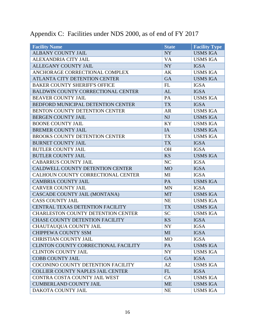| <b>Facility Name</b>                      | <b>State</b> | <b>Facility Type</b> |
|-------------------------------------------|--------------|----------------------|
| <b>ALBANY COUNTY JAIL</b>                 | <b>NY</b>    | <b>USMS IGA</b>      |
| ALEXANDRIA CITY JAIL                      | <b>VA</b>    | <b>USMS IGA</b>      |
| <b>ALLEGANY COUNTY JAIL</b>               | <b>NY</b>    | <b>IGSA</b>          |
| ANCHORAGE CORRECTIONAL COMPLEX            | AK           | <b>USMS IGA</b>      |
| ATLANTA CITY DETENTION CENTER             | <b>GA</b>    | <b>USMS IGA</b>      |
| <b>BAKER COUNTY SHERIFF'S OFFICE</b>      | FL           | <b>IGSA</b>          |
| <b>BALDWIN COUNTY CORRECTIONAL CENTER</b> | AL           | <b>IGSA</b>          |
| <b>BEAVER COUNTY JAIL</b>                 | PA           | <b>USMS IGA</b>      |
| BEDFORD MUNICIPAL DETENTION CENTER        | <b>TX</b>    | <b>IGSA</b>          |
| BENTON COUNTY DETENTION CENTER            | <b>AR</b>    | <b>USMS IGA</b>      |
| <b>BERGEN COUNTY JAIL</b>                 | NJ           | <b>USMS IGA</b>      |
| <b>BOONE COUNTY JAIL</b>                  | KY           | <b>USMS IGA</b>      |
| <b>BREMER COUNTY JAIL</b>                 | IA           | <b>USMS IGA</b>      |
| <b>BROOKS COUNTY DETENTION CENTER</b>     | <b>TX</b>    | <b>USMS IGA</b>      |
| <b>BURNET COUNTY JAIL</b>                 | <b>TX</b>    | <b>IGSA</b>          |
| <b>BUTLER COUNTY JAIL</b>                 | <b>OH</b>    | <b>IGSA</b>          |
| <b>BUTLER COUNTY JAIL</b>                 | <b>KS</b>    | <b>USMS IGA</b>      |
| <b>CABARRUS COUNTY JAIL</b>               | NC           | <b>IGSA</b>          |
| CALDWELL COUNTY DETENTION CENTER          | <b>MO</b>    | <b>IGSA</b>          |
| CALHOUN COUNTY CORRECTIONAL CENTER        | MI           | <b>IGSA</b>          |
| <b>CAMBRIA COUNTY JAIL</b>                | PA           | <b>USMS IGA</b>      |
| <b>CARVER COUNTY JAIL</b>                 | <b>MN</b>    | <b>IGSA</b>          |
| CASCADE COUNTY JAIL (MONTANA)             | <b>MT</b>    | <b>USMS IGA</b>      |
| <b>CASS COUNTY JAIL</b>                   | <b>NE</b>    | <b>USMS IGA</b>      |
| CENTRAL TEXAS DETENTION FACILITY          | <b>TX</b>    | <b>USMS IGA</b>      |
| <b>CHARLESTON COUNTY DETENTION CENTER</b> | <b>SC</b>    | <b>USMS IGA</b>      |
| <b>CHASE COUNTY DETENTION FACILITY</b>    | <b>KS</b>    | <b>IGSA</b>          |
| CHAUTAUQUA COUNTY JAIL                    | <b>NY</b>    | <b>IGSA</b>          |
| <b>CHIPPEWA COUNTY SSM</b>                | MI           | <b>IGSA</b>          |
| <b>CHRISTIAN COUNTY JAIL</b>              | <b>MO</b>    | <b>IGSA</b>          |
| CLINTON COUNTY CORRECTIONAL FACILITY      | <b>PA</b>    | <b>USMS IGA</b>      |
| <b>CLINTON COUNTY JAIL</b>                | NY           | <b>USMS IGA</b>      |
| <b>COBB COUNTY JAIL</b>                   | <b>GA</b>    | <b>IGSA</b>          |
| COCONINO COUNTY DETENTION FACILITY        | AZ           | <b>USMS IGA</b>      |
| <b>COLLIER COUNTY NAPLES JAIL CENTER</b>  | FL           | <b>IGSA</b>          |
| CONTRA COSTA COUNTY JAIL WEST             | CA           | <b>USMS IGA</b>      |
| <b>CUMBERLAND COUNTY JAIL</b>             | <b>ME</b>    | <b>USMS IGA</b>      |
| DAKOTA COUNTY JAIL                        | <b>NE</b>    | <b>USMS IGA</b>      |

<span id="page-19-0"></span>Appendix C: Facilities under NDS 2000, as of end of FY 2017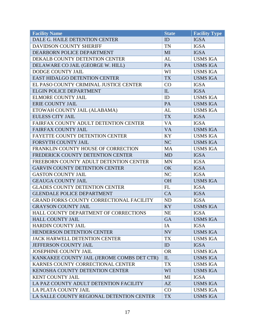| <b>Facility Name</b>                            | <b>State</b> | <b>Facility Type</b> |
|-------------------------------------------------|--------------|----------------------|
| DALE G. HAILE DETENTION CENTER                  | ID           | <b>IGSA</b>          |
| <b>DAVIDSON COUNTY SHERIFF</b>                  | <b>TN</b>    | <b>IGSA</b>          |
| DEARBORN POLICE DEPARTMENT                      | MI           | <b>IGSA</b>          |
| DEKALB COUNTY DETENTION CENTER                  | AL           | <b>USMS IGA</b>      |
| DELAWARE CO JAIL (GEORGE W. HILL)               | PA           | <b>USMS IGA</b>      |
| <b>DODGE COUNTY JAIL</b>                        | WI           | <b>USMS IGA</b>      |
| <b>EAST HIDALGO DETENTION CENTER</b>            | <b>TX</b>    | <b>USMS IGA</b>      |
| EL PASO COUNTY CRIMINAL JUSTICE CENTER          | CO           | <b>IGSA</b>          |
| <b>ELGIN POLICE DEPARTMENT</b>                  | IL           | <b>IGSA</b>          |
| <b>ELMORE COUNTY JAIL</b>                       | ID           | <b>USMS IGA</b>      |
| <b>ERIE COUNTY JAIL</b>                         | PA           | <b>USMS IGA</b>      |
| ETOWAH COUNTY JAIL (ALABAMA)                    | AL           | <b>USMS IGA</b>      |
| <b>EULESS CITY JAIL</b>                         | <b>TX</b>    | <b>IGSA</b>          |
| <b>FAIRFAX COUNTY ADULT DETENTION CENTER</b>    | VA           | <b>IGSA</b>          |
| <b>FAIRFAX COUNTY JAIL</b>                      | <b>VA</b>    | <b>USMS IGA</b>      |
| <b>FAYETTE COUNTY DETENTION CENTER</b>          | KY           | <b>USMS IGA</b>      |
| <b>FORSYTH COUNTY JAIL</b>                      | <b>NC</b>    | <b>USMS IGA</b>      |
| FRANKLIN COUNTY HOUSE OF CORRECTION             | <b>MA</b>    | <b>USMS IGA</b>      |
| FREDERICK COUNTY DETENTION CENTER               | <b>MD</b>    | <b>IGSA</b>          |
| FREEBORN COUNTY ADULT DETENTION CENTER          | <b>MN</b>    | <b>IGSA</b>          |
| <b>GARVIN COUNTY DETENTION CENTER</b>           | OK           | <b>IGSA</b>          |
| <b>GASTON COUNTY JAIL</b>                       | NC           | <b>IGSA</b>          |
| <b>GEAUGA COUNTY JAIL</b>                       | <b>OH</b>    | <b>USMS IGA</b>      |
| <b>GLADES COUNTY DETENTION CENTER</b>           | <b>FL</b>    | <b>IGSA</b>          |
| <b>GLENDALE POLICE DEPARTMENT</b>               | <b>CA</b>    | <b>IGSA</b>          |
| <b>GRAND FORKS COUNTY CORRECTIONAL FACILITY</b> | <b>ND</b>    | <b>IGSA</b>          |
| <b>GRAYSON COUNTY JAIL</b>                      | <b>KY</b>    | <b>USMS IGA</b>      |
| HALL COUNTY DEPARTMENT OF CORRECTIONS           | <b>NE</b>    | <b>IGSA</b>          |
| <b>HALL COUNTY JAIL</b>                         | <b>GA</b>    | <b>USMS IGA</b>      |
| <b>HARDIN COUNTY JAIL</b>                       | IA           | <b>IGSA</b>          |
| <b>HENDERSON DETENTION CENTER</b>               | NV           | <b>USMS IGA</b>      |
| <b>JACK HARWELL DETENTION CENTER</b>            | <b>TX</b>    | <b>USMS IGA</b>      |
| JEFFERSON COUNTY JAIL                           | ID           | <b>IGSA</b>          |
| <b>JOSEPHINE COUNTY JAIL</b>                    | <b>OR</b>    | <b>USMS IGA</b>      |
| KANKAKEE COUNTY JAIL (JEROME COMBS DET CTR)     | IL           | <b>USMS IGA</b>      |
| KARNES COUNTY CORRECTIONAL CENTER               | TX           | <b>USMS IGA</b>      |
| <b>KENOSHA COUNTY DETENTION CENTER</b>          | WI           | <b>USMS IGA</b>      |
| <b>KENT COUNTY JAIL</b>                         | MI           | <b>IGSA</b>          |
| LA PAZ COUNTY ADULT DETENTION FACILITY          | AZ           | <b>USMS IGA</b>      |
| LA PLATA COUNTY JAIL                            | CO           | <b>USMS IGA</b>      |
| LA SALLE COUNTY REGIONAL DETENTION CENTER       | <b>TX</b>    | <b>USMS IGA</b>      |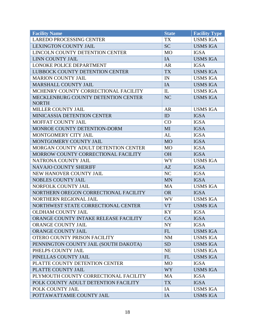| <b>Facility Name</b>                  | <b>State</b> | <b>Facility Type</b> |
|---------------------------------------|--------------|----------------------|
| <b>LAREDO PROCESSING CENTER</b>       | <b>TX</b>    | <b>USMS IGA</b>      |
| <b>LEXINGTON COUNTY JAIL</b>          | <b>SC</b>    | <b>USMS IGA</b>      |
| LINCOLN COUNTY DETENTION CENTER       | <b>MO</b>    | <b>IGSA</b>          |
| <b>LINN COUNTY JAIL</b>               | IA           | <b>USMS IGA</b>      |
| <b>LONOKE POLICE DEPARTMENT</b>       | <b>AR</b>    | <b>IGSA</b>          |
| LUBBOCK COUNTY DETENTION CENTER       | <b>TX</b>    | <b>USMS IGA</b>      |
| <b>MARION COUNTY JAIL</b>             | IN           | <b>USMS IGA</b>      |
| MARSHALL COUNTY JAIL                  | IA           | <b>USMS IGA</b>      |
| MCHENRY COUNTY CORRECTIONAL FACILITY  | IL           | <b>USMS IGA</b>      |
| MECKLENBURG COUNTY DETENTION CENTER   | <b>NC</b>    | <b>USMS IGA</b>      |
| <b>NORTH</b>                          |              |                      |
| MILLER COUNTY JAIL                    | <b>AR</b>    | <b>USMS IGA</b>      |
| <b>MINICASSIA DETENTION CENTER</b>    | ID           | <b>IGSA</b>          |
| <b>MOFFAT COUNTY JAIL</b>             | CO           | <b>IGSA</b>          |
| MONROE COUNTY DETENTION-DORM          | MI           | <b>IGSA</b>          |
| MONTGOMERY CITY JAIL                  | AL           | <b>IGSA</b>          |
| MONTGOMERY COUNTY JAIL                | <b>MO</b>    | <b>IGSA</b>          |
| MORGAN COUNTY ADULT DETENTION CENTER  | <b>MO</b>    | <b>IGSA</b>          |
| MORROW COUNTY CORRECTIONAL FACILITY   | <b>OH</b>    | <b>IGSA</b>          |
| NATRONA COUNTY JAIL                   | <b>WY</b>    | <b>USMS IGA</b>      |
| <b>NAVAJO COUNTY SHERIFF</b>          | AZ           | <b>IGSA</b>          |
| NEW HANOVER COUNTY JAIL               | NC           | <b>IGSA</b>          |
| <b>NOBLES COUNTY JAIL</b>             | <b>MN</b>    | <b>IGSA</b>          |
| NORFOLK COUNTY JAIL                   | <b>MA</b>    | <b>USMS IGA</b>      |
| NORTHERN OREGON CORRECTIONAL FACILITY | <b>OR</b>    | <b>IGSA</b>          |
| NORTHERN REGIONAL JAIL                | <b>WV</b>    | <b>USMS IGA</b>      |
| NORTHWEST STATE CORRECTIONAL CENTER   | <b>VT</b>    | <b>USMS IGA</b>      |
| <b>OLDHAM COUNTY JAIL</b>             | KY           | <b>IGSA</b>          |
| ORANGE COUNTY INTAKE RELEASE FACILITY | CA           | <b>IGSA</b>          |
| <b>ORANGE COUNTY JAIL</b>             | <b>NY</b>    | <b>IGSA</b>          |
| ORANGE COUNTY JAIL                    | FL           | <b>USMS IGA</b>      |
| <b>OTERO COUNTY PRISON FACILITY</b>   | <b>NM</b>    | <b>USMS IGA</b>      |
| PENNINGTON COUNTY JAIL (SOUTH DAKOTA) | <b>SD</b>    | <b>USMS IGA</b>      |
| PHELPS COUNTY JAIL                    | <b>NE</b>    | <b>USMS IGA</b>      |
| PINELLAS COUNTY JAIL                  | <b>FL</b>    | <b>USMS IGA</b>      |
| PLATTE COUNTY DETENTION CENTER        | <b>MO</b>    | <b>IGSA</b>          |
| PLATTE COUNTY JAIL                    | <b>WY</b>    | <b>USMS IGA</b>      |
| PLYMOUTH COUNTY CORRECTIONAL FACILITY | <b>MA</b>    | <b>IGSA</b>          |
| POLK COUNTY ADULT DETENTION FACILITY  | <b>TX</b>    | <b>IGSA</b>          |
| POLK COUNTY JAIL                      | IA           | <b>USMS IGA</b>      |
| POTTAWATTAMIE COUNTY JAIL             | IA           | <b>USMS IGA</b>      |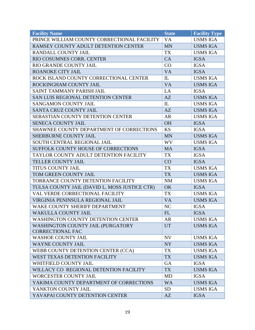| <b>Facility Name</b>                          | <b>State</b> | <b>Facility Type</b> |
|-----------------------------------------------|--------------|----------------------|
| PRINCE WILLIAM COUNTY CORRECTIONAL FACILITY   | <b>VA</b>    | <b>USMS IGA</b>      |
| RAMSEY COUNTY ADULT DETENTION CENTER          | <b>MN</b>    | <b>USMS IGA</b>      |
| RANDALL COUNTY JAIL                           | <b>TX</b>    | <b>USMS IGA</b>      |
| RIO COSUMNES CORR. CENTER                     | CA           | <b>IGSA</b>          |
| RIO GRANDE COUNTY JAIL                        | CO           | <b>IGSA</b>          |
| <b>ROANOKE CITY JAIL</b>                      | <b>VA</b>    | <b>IGSA</b>          |
| ROCK ISLAND COUNTY CORRECTIONAL CENTER        | IL           | <b>USMS IGA</b>      |
| ROCKINGHAM COUNTY JAIL                        | <b>VA</b>    | <b>USMS IGA</b>      |
| <b>SAINT TAMMANY PARISH JAIL</b>              | LA           | <b>IGSA</b>          |
| SAN LUIS REGIONAL DETENTION CENTER            | AZ           | <b>USMS IGA</b>      |
| <b>SANGAMON COUNTY JAIL</b>                   | IL           | <b>USMS IGA</b>      |
| <b>SANTA CRUZ COUNTY JAIL</b>                 | AZ           | <b>USMS IGA</b>      |
| SEBASTIAN COUNTY DETENTION CENTER             | <b>AR</b>    | <b>USMS IGA</b>      |
| <b>SENECA COUNTY JAIL</b>                     | <b>OH</b>    | <b>IGSA</b>          |
| SHAWNEE COUNTY DEPARTMENT OF CORRECTIONS      | <b>KS</b>    | <b>IGSA</b>          |
| SHERBURNE COUNTY JAIL                         | <b>MN</b>    | <b>USMS IGA</b>      |
| <b>SOUTH CENTRAL REGIONAL JAIL</b>            | <b>WV</b>    | <b>USMS IGA</b>      |
| SUFFOLK COUNTY HOUSE OF CORRECTIONS           | <b>MA</b>    | <b>IGSA</b>          |
| TAYLOR COUNTY ADULT DETENTION FACILITY        | <b>TX</b>    | <b>IGSA</b>          |
| TELLER COUNTY JAIL                            | CO           | <b>IGSA</b>          |
| <b>TITUS COUNTY JAIL</b>                      | <b>TX</b>    | <b>USMS IGA</b>      |
| TOM GREEN COUNTY JAIL                         | <b>TX</b>    | <b>USMS IGA</b>      |
| TORRANCE COUNTY DETENTION FACILITY            | <b>NM</b>    | <b>USMS IGA</b>      |
| TULSA COUNTY JAIL (DAVID L. MOSS JUSTICE CTR) | OK           | <b>IGSA</b>          |
| VAL VERDE CORRECTIONAL FACILITY               | <b>TX</b>    | <b>USMS IGA</b>      |
| VIRGINIA PENINSULA REGIONAL JAIL              | <b>VA</b>    | <b>USMS IGA</b>      |
| WAKE COUNTY SHERIFF DEPARTMENT                | NC           | <b>IGSA</b>          |
| <b>WAKULLA COUNTY JAIL</b>                    | FL           | <b>IGSA</b>          |
| <b>WASHINGTON COUNTY DETENTION CENTER</b>     | AR           | <b>USMS IGA</b>      |
| WASHINGTON COUNTY JAIL (PURGATORY             | <b>UT</b>    | <b>USMS IGA</b>      |
| <b>CORRECTIONAL FAC</b>                       |              |                      |
| <b>WASHOE COUNTY JAIL</b>                     | NV           | <b>USMS IGA</b>      |
| WAYNE COUNTY JAIL                             | NY           | <b>USMS IGA</b>      |
| WEBB COUNTY DETENTION CENTER (CCA)            | TX           | <b>USMS IGA</b>      |
| WEST TEXAS DETENTION FACILITY                 | <b>TX</b>    | <b>USMS IGA</b>      |
| WHITFIELD COUNTY JAIL                         | <b>GA</b>    | <b>IGSA</b>          |
| WILLACY CO REGIONAL DETENTION FACILITY        | <b>TX</b>    | <b>USMS IGA</b>      |
| WORCESTER COUNTY JAIL                         | MD           | <b>IGSA</b>          |
| YAKIMA COUNTY DEPARTMENT OF CORRECTIONS       | <b>WA</b>    | <b>USMS IGA</b>      |
| YANKTON COUNTY JAIL                           | <b>SD</b>    | <b>USMS IGA</b>      |
| YAVAPAI COUNTY DETENTION CENTER               | AZ           | <b>IGSA</b>          |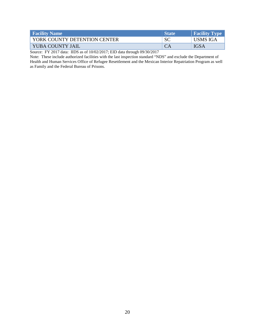| <b>Facility Name</b>         | <b>State</b> | <b>Facility Type</b> |
|------------------------------|--------------|----------------------|
| YORK COUNTY DETENTION CENTER | <b>SC</b>    | USMS IGA             |
| YUBA COUNTY JAIL             |              | <b>IGSA</b>          |

Source: FY 2017 data: IIDS as of 10/02/2017; EID data through 09/30/2017

Note: These include authorized facilities with the last inspection standard "NDS" and exclude the Department of Health and Human Services Office of Refugee Resettlement and the Mexican Interior Repatriation Program as well as Family and the Federal Bureau of Prisons.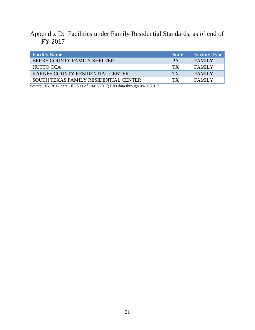<span id="page-24-0"></span>Appendix D: Facilities under Family Residential Standards, as of end of FY 2017

| <b>Facility Name</b>                    | <b>State</b> | <b>Facility Type</b> |
|-----------------------------------------|--------------|----------------------|
| <b>BERKS COUNTY FAMILY SHELTER</b>      | <b>PA</b>    | <b>FAMILY</b>        |
| <b>HUTTO CCA</b>                        | TX           | <b>FAMILY</b>        |
| KARNES COUNTY RESIDENTIAL CENTER        | <b>TX</b>    | <b>FAMILY</b>        |
| I SOUTH TEXAS FAMILY RESIDENTIAL CENTER | TX           | <b>FAMILY</b>        |

Source: FY 2017 data: IIDS as of 10/02/2017; EID data through 09/30/2017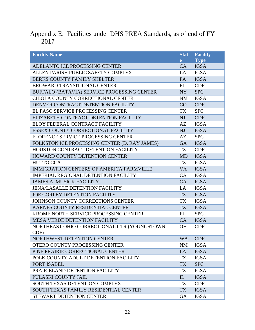<span id="page-25-0"></span>Appendix E: Facilities under DHS PREA Standards, as of end of FY 2017

| <b>Facility Name</b>                            | <b>Stat</b> | <b>Facility</b> |
|-------------------------------------------------|-------------|-----------------|
|                                                 | e           | <b>Type</b>     |
| ADELANTO ICE PROCESSING CENTER                  | CA          | <b>IGSA</b>     |
| ALLEN PARISH PUBLIC SAFETY COMPLEX              | LA          | <b>IGSA</b>     |
| BERKS COUNTY FAMILY SHELTER                     | PA          | <b>IGSA</b>     |
| BROWARD TRANSITIONAL CENTER                     | FL          | <b>CDF</b>      |
| BUFFALO (BATAVIA) SERVICE PROCESSING CENTER     | NY          | <b>SPC</b>      |
| CIBOLA COUNTY CORRECTIONAL CENTER               | <b>NM</b>   | <b>IGSA</b>     |
| DENVER CONTRACT DETENTION FACILITY              | CO          | <b>CDF</b>      |
| EL PASO SERVICE PROCESSING CENTER               | <b>TX</b>   | <b>SPC</b>      |
| ELIZABETH CONTRACT DETENTION FACILITY           | NJ          | <b>CDF</b>      |
| ELOY FEDERAL CONTRACT FACILITY                  | AZ          | <b>IGSA</b>     |
| <b>ESSEX COUNTY CORRECTIONAL FACILITY</b>       | NJ          | <b>IGSA</b>     |
| FLORENCE SERVICE PROCESSING CENTER              | AZ          | <b>SPC</b>      |
| FOLKSTON ICE PROCESSING CENTER (D. RAY JAMES)   | <b>GA</b>   | <b>IGSA</b>     |
| HOUSTON CONTRACT DETENTION FACILITY             | <b>TX</b>   | <b>CDF</b>      |
| HOWARD COUNTY DETENTION CENTER                  | <b>MD</b>   | <b>IGSA</b>     |
| <b>HUTTO CCA</b>                                | TX          | <b>IGSA</b>     |
| <b>IMMIGRATION CENTERS OF AMERICA FARMVILLE</b> | <b>VA</b>   | <b>IGSA</b>     |
| <b>IMPERIAL REGIONAL DETENTION FACILITY</b>     | CA          | <b>IGSA</b>     |
| <b>JAMES A. MUSICK FACILITY</b>                 | CA          | <b>IGSA</b>     |
| <b>JENA/LASALLE DETENTION FACILITY</b>          | LA          | <b>IGSA</b>     |
| <b>JOE CORLEY DETENTION FACILITY</b>            | <b>TX</b>   | <b>IGSA</b>     |
| JOHNSON COUNTY CORRECTIONS CENTER               | <b>TX</b>   | <b>IGSA</b>     |
| KARNES COUNTY RESIDENTIAL CENTER                | <b>TX</b>   | <b>IGSA</b>     |
| KROME NORTH SERVICE PROCESSING CENTER           | FL          | <b>SPC</b>      |
| MESA VERDE DETENTION FACILITY                   | CA          | <b>IGSA</b>     |
| NORTHEAST OHIO CORRECTIONAL CTR (YOUNGSTOWN     | <b>OH</b>   | <b>CDF</b>      |
| CDF)                                            |             |                 |
| NORTHWEST DETENTION CENTER                      | <b>WA</b>   | <b>CDF</b>      |
| OTERO COUNTY PROCESSING CENTER                  | <b>NM</b>   | <b>IGSA</b>     |
| PINE PRAIRIE CORRECTIONAL CENTER                | LA          | <b>IGSA</b>     |
| POLK COUNTY ADULT DETENTION FACILITY            | TX          | <b>IGSA</b>     |
| PORT ISABEL                                     | <b>TX</b>   | <b>SPC</b>      |
| PRAIRIELAND DETENTION FACILITY                  | TX          | <b>IGSA</b>     |
| PULASKI COUNTY JAIL                             | IL          | <b>IGSA</b>     |
| <b>SOUTH TEXAS DETENTION COMPLEX</b>            | TX          | <b>CDF</b>      |
| SOUTH TEXAS FAMILY RESIDENTIAL CENTER           | <b>TX</b>   | <b>IGSA</b>     |
| STEWART DETENTION CENTER                        | GA          | <b>IGSA</b>     |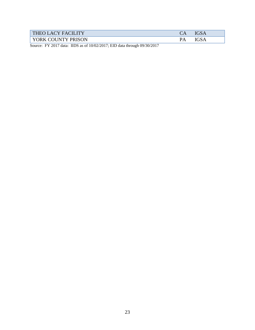| <b>THEO LACY FACILITY</b> |  |
|---------------------------|--|
| LYORK COUNTY PRISON       |  |

Source: FY 2017 data: IIDS as of 10/02/2017; EID data through 09/30/2017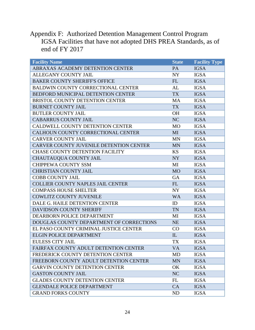<span id="page-27-0"></span>Appendix F: Authorized Detention Management Control Program IGSA Facilities that have not adopted DHS PREA Standards, as of end of FY 2017

| <b>Facility Name</b>                      | <b>State</b> | <b>Facility Type</b> |
|-------------------------------------------|--------------|----------------------|
| ABRAXAS ACADEMY DETENTION CENTER          | PA           | <b>IGSA</b>          |
| <b>ALLEGANY COUNTY JAIL</b>               | <b>NY</b>    | <b>IGSA</b>          |
| <b>BAKER COUNTY SHERIFF'S OFFICE</b>      | FL           | <b>IGSA</b>          |
| <b>BALDWIN COUNTY CORRECTIONAL CENTER</b> | AL           | <b>IGSA</b>          |
| BEDFORD MUNICIPAL DETENTION CENTER        | <b>TX</b>    | <b>IGSA</b>          |
| <b>BRISTOL COUNTY DETENTION CENTER</b>    | <b>MA</b>    | <b>IGSA</b>          |
| <b>BURNET COUNTY JAIL</b>                 | <b>TX</b>    | <b>IGSA</b>          |
| <b>BUTLER COUNTY JAIL</b>                 | <b>OH</b>    | <b>IGSA</b>          |
| <b>CABARRUS COUNTY JAIL</b>               | NC           | <b>IGSA</b>          |
| CALDWELL COUNTY DETENTION CENTER          | <b>MO</b>    | <b>IGSA</b>          |
| CALHOUN COUNTY CORRECTIONAL CENTER        | MI           | <b>IGSA</b>          |
| <b>CARVER COUNTY JAIL</b>                 | <b>MN</b>    | <b>IGSA</b>          |
| CARVER COUNTY JUVENILE DETENTION CENTER   | <b>MN</b>    | <b>IGSA</b>          |
| <b>CHASE COUNTY DETENTION FACILITY</b>    | <b>KS</b>    | <b>IGSA</b>          |
| CHAUTAUQUA COUNTY JAIL                    | NY           | <b>IGSA</b>          |
| <b>CHIPPEWA COUNTY SSM</b>                | MI           | <b>IGSA</b>          |
| <b>CHRISTIAN COUNTY JAIL</b>              | <b>MO</b>    | <b>IGSA</b>          |
| <b>COBB COUNTY JAIL</b>                   | GA           | <b>IGSA</b>          |
| <b>COLLIER COUNTY NAPLES JAIL CENTER</b>  | FL           | <b>IGSA</b>          |
| <b>COMPASS HOUSE SHELTER</b>              | <b>NY</b>    | <b>IGSA</b>          |
| <b>COWLITZ COUNTY JUVENILE</b>            | <b>WA</b>    | <b>IGSA</b>          |
| DALE G. HAILE DETENTION CENTER            | ID           | <b>IGSA</b>          |
| <b>DAVIDSON COUNTY SHERIFF</b>            | TN           | <b>IGSA</b>          |
| DEARBORN POLICE DEPARTMENT                | MI           | <b>IGSA</b>          |
| DOUGLAS COUNTY DEPARTMENT OF CORRECTIONS  | <b>NE</b>    | <b>IGSA</b>          |
| EL PASO COUNTY CRIMINAL JUSTICE CENTER    | CO           | <b>IGSA</b>          |
| <b>ELGIN POLICE DEPARTMENT</b>            | IL           | <b>IGSA</b>          |
| <b>EULESS CITY JAIL</b>                   | <b>TX</b>    | <b>IGSA</b>          |
| FAIRFAX COUNTY ADULT DETENTION CENTER     | <b>VA</b>    | <b>IGSA</b>          |
| FREDERICK COUNTY DETENTION CENTER         | MD           | <b>IGSA</b>          |
| FREEBORN COUNTY ADULT DETENTION CENTER    | <b>MN</b>    | <b>IGSA</b>          |
| <b>GARVIN COUNTY DETENTION CENTER</b>     | OK           | <b>IGSA</b>          |
| <b>GASTON COUNTY JAIL</b>                 | NC           | <b>IGSA</b>          |
| <b>GLADES COUNTY DETENTION CENTER</b>     | FL           | <b>IGSA</b>          |
| <b>GLENDALE POLICE DEPARTMENT</b>         | CA           | <b>IGSA</b>          |
| <b>GRAND FORKS COUNTY</b>                 | ND           | <b>IGSA</b>          |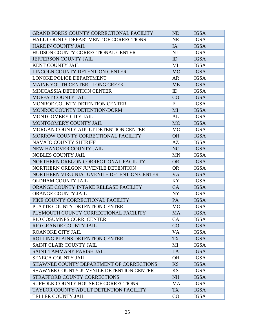| <b>GRAND FORKS COUNTY CORRECTIONAL FACILITY</b> | <b>ND</b> | <b>IGSA</b> |
|-------------------------------------------------|-----------|-------------|
| HALL COUNTY DEPARTMENT OF CORRECTIONS           | <b>NE</b> | <b>IGSA</b> |
| <b>HARDIN COUNTY JAIL</b>                       | IA        | <b>IGSA</b> |
| HUDSON COUNTY CORRECTIONAL CENTER               | NJ        | <b>IGSA</b> |
| JEFFERSON COUNTY JAIL                           | ID        | <b>IGSA</b> |
| <b>KENT COUNTY JAIL</b>                         | MI        | <b>IGSA</b> |
| LINCOLN COUNTY DETENTION CENTER                 | <b>MO</b> | <b>IGSA</b> |
| LONOKE POLICE DEPARTMENT                        | <b>AR</b> | <b>IGSA</b> |
| MAINE YOUTH CENTER - LONG CREEK                 | <b>ME</b> | <b>IGSA</b> |
| <b>MINICASSIA DETENTION CENTER</b>              | ID        | <b>IGSA</b> |
| <b>MOFFAT COUNTY JAIL</b>                       | CO        | <b>IGSA</b> |
| MONROE COUNTY DETENTION CENTER                  | FL        | <b>IGSA</b> |
| MONROE COUNTY DETENTION-DORM                    | MI        | <b>IGSA</b> |
| MONTGOMERY CITY JAIL                            | AL        | <b>IGSA</b> |
| MONTGOMERY COUNTY JAIL                          | <b>MO</b> | <b>IGSA</b> |
| MORGAN COUNTY ADULT DETENTION CENTER            | <b>MO</b> | <b>IGSA</b> |
| MORROW COUNTY CORRECTIONAL FACILITY             | <b>OH</b> | <b>IGSA</b> |
| <b>NAVAJO COUNTY SHERIFF</b>                    | AZ        | <b>IGSA</b> |
| NEW HANOVER COUNTY JAIL                         | NC        | <b>IGSA</b> |
| <b>NOBLES COUNTY JAIL</b>                       | <b>MN</b> | <b>IGSA</b> |
| NORTHERN OREGON CORRECTIONAL FACILITY           | <b>OR</b> | <b>IGSA</b> |
| NORTHERN OREGON JUVENILE DETENTION              | <b>OR</b> | <b>IGSA</b> |
| NORTHERN VIRGINIA JUVENILE DETENTION CENTER     | <b>VA</b> | <b>IGSA</b> |
| <b>OLDHAM COUNTY JAIL</b>                       | KY.       | <b>IGSA</b> |
| ORANGE COUNTY INTAKE RELEASE FACILITY           | CA        | <b>IGSA</b> |
| <b>ORANGE COUNTY JAIL</b>                       | NY        | <b>IGSA</b> |
| PIKE COUNTY CORRECTIONAL FACILITY               | PA        | <b>IGSA</b> |
| PLATTE COUNTY DETENTION CENTER                  | <b>MO</b> | <b>IGSA</b> |
| PLYMOUTH COUNTY CORRECTIONAL FACILITY           | <b>MA</b> | <b>IGSA</b> |
| RIO COSUMNES CORR. CENTER                       | CA        | <b>IGSA</b> |
| RIO GRANDE COUNTY JAIL                          | CO        | <b>IGSA</b> |
| <b>ROANOKE CITY JAIL</b>                        | <b>VA</b> | <b>IGSA</b> |
| ROLLING PLAINS DETENTION CENTER                 | <b>TX</b> | <b>IGSA</b> |
| <b>SAINT CLAIR COUNTY JAIL</b>                  | MI        | <b>IGSA</b> |
| <b>SAINT TAMMANY PARISH JAIL</b>                | LA        | <b>IGSA</b> |
| <b>SENECA COUNTY JAIL</b>                       | <b>OH</b> | <b>IGSA</b> |
| SHAWNEE COUNTY DEPARTMENT OF CORRECTIONS        | <b>KS</b> | <b>IGSA</b> |
| <b>SHAWNEE COUNTY JUVENILE DETENTION CENTER</b> | <b>KS</b> | <b>IGSA</b> |
| STRAFFORD COUNTY CORRECTIONS                    | <b>NH</b> | <b>IGSA</b> |
| <b>SUFFOLK COUNTY HOUSE OF CORRECTIONS</b>      | <b>MA</b> | <b>IGSA</b> |
| TAYLOR COUNTY ADULT DETENTION FACILITY          | <b>TX</b> | <b>IGSA</b> |
| TELLER COUNTY JAIL                              | CO        | <b>IGSA</b> |